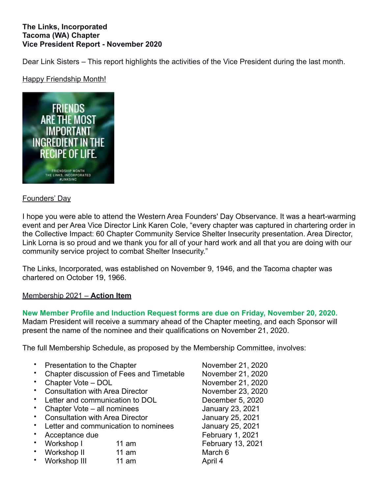### **The Links, Incorporated Tacoma (WA) Chapter Vice President Report - November 2020**

Dear Link Sisters – This report highlights the activities of the Vice President during the last month.

## Happy Friendship Month!



### Founders' Day

I hope you were able to attend the Western Area Founders' Day Observance. It was a heart-warming event and per Area Vice Director Link Karen Cole, "every chapter was captured in chartering order in the Collective Impact: 60 Chapter Community Service Shelter Insecurity presentation. Area Director, Link Lorna is so proud and we thank you for all of your hard work and all that you are doing with our community service project to combat Shelter Insecurity."

The Links, Incorporated, was established on November 9, 1946, and the Tacoma chapter was chartered on October 19, 1966.

### Membership 2021 – **Action Item**

#### **New Member Profile and Induction Request forms are due on Friday, November 20, 2020.** Madam President will receive a summary ahead of the Chapter meeting, and each Sponsor will

present the name of the nominee and their qualifications on November 21, 2020.

The full Membership Schedule, as proposed by the Membership Committee, involves:

- **Presentation to the Chapter November 21, 2020**
- Chapter discussion of Fees and Timetable November 21, 2020
- Chapter Vote DOL November 21, 2020
- **Consultation with Area Director November 23, 2020**
- Letter and communication to DOL December 5, 2020
- Chapter Vote all nominees January 23, 2021
- Consultation with Area Director January 25, 2021
- Letter and communication to nominees January 25, 2021
- 
- Workshop I 11 am February 13, 2021
- Workshop II 11 am March 6
- **Workshop III 11 am April 4**
- Acceptance due February 1, 2021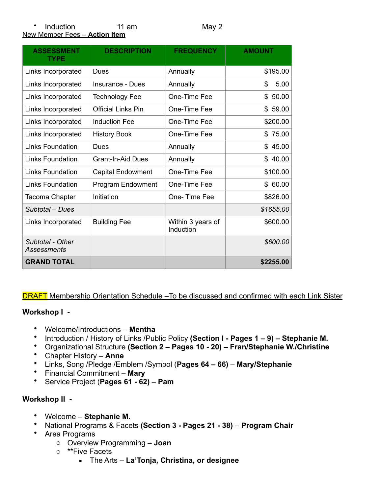#### • Induction 11 am May 2 New Member Fees – **Action Item**

| <b>ASSESSMENT</b><br><b>TYPE</b> | <b>DESCRIPTION</b>        | <b>FREQUENCY</b>               | <b>AMOUNT</b> |
|----------------------------------|---------------------------|--------------------------------|---------------|
| Links Incorporated               | Dues                      | Annually                       | \$195.00      |
| Links Incorporated               | Insurance - Dues          | Annually                       | 5.00<br>\$    |
| Links Incorporated               | <b>Technology Fee</b>     | One-Time Fee                   | \$50.00       |
| Links Incorporated               | <b>Official Links Pin</b> | One-Time Fee                   | \$59.00       |
| Links Incorporated               | <b>Induction Fee</b>      | One-Time Fee                   | \$200.00      |
| Links Incorporated               | <b>History Book</b>       | One-Time Fee                   | \$75.00       |
| Links Foundation                 | Dues                      | Annually                       | \$45.00       |
| Links Foundation                 | <b>Grant-In-Aid Dues</b>  | Annually                       | \$40.00       |
| <b>Links Foundation</b>          | <b>Capital Endowment</b>  | One-Time Fee                   | \$100.00      |
| Links Foundation                 | Program Endowment         | One-Time Fee                   | \$60.00       |
| Tacoma Chapter                   | Initiation                | One-Time Fee                   | \$826.00      |
| Subtotal – Dues                  |                           |                                | \$1655.00     |
| Links Incorporated               | <b>Building Fee</b>       | Within 3 years of<br>Induction | \$600.00      |
| Subtotal - Other<br>Assessments  |                           |                                | \$600.00      |
| <b>GRAND TOTAL</b>               |                           |                                | \$2255.00     |

DRAFT Membership Orientation Schedule –To be discussed and confirmed with each Link Sister

### **Workshop I -**

- Welcome/Introductions **Mentha**
- Introduction / History of Links /Public Policy **(Section I Pages 1 9) Stephanie M.**
- Organizational Structure **(Section 2 Pages 10 20) Fran/Stephanie W./Christine**
- Chapter History **Anne**
- Links, Song /Pledge /Emblem /Symbol (**Pages 64 66) Mary/Stephanie**
- Financial Commitment **Mary**
- Service Project (**Pages 61 62)** – **Pam**

# **Workshop II -**

- Welcome **Stephanie M.**
- National Programs & Facets **(Section 3 Pages 21 38) Program Chair**
- Area Programs
	- o Overview Programming **Joan**
	- o \*\*Five Facets
		- The Arts **La'Tonja, Christina, or designee**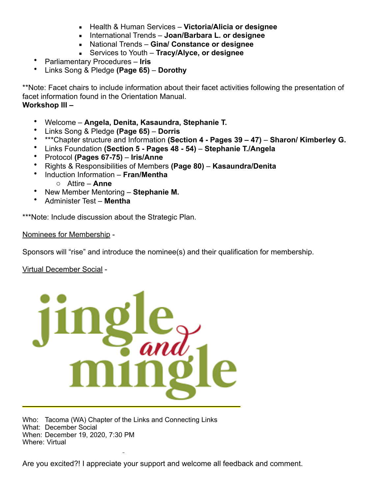- Health & Human Services **Victoria/Alicia or designee**
- International Trends **Joan/Barbara L. or designee**
- National Trends **Gina/ Constance or designee**
- Services to Youth **Tracy/Alyce, or designee**
- Parliamentary Procedures **Iris**
- Links Song & Pledge **(Page 65) Dorothy**

\*\*Note: Facet chairs to include information about their facet activities following the presentation of facet information found in the Orientation Manual. **Workshop III –** 

- Welcome **Angela, Denita, Kasaundra, Stephanie T.**
- Links Song & Pledge **(Page 65) Dorris**
- \*\*\*Chapter structure and Information **(Section 4 Pages 39 47) Sharon/ Kimberley G.**
- Links Foundation **(Section 5 Pages 48 54) Stephanie T./Angela**
- Protocol **(Pages 67-75) Iris/Anne**
- Rights & Responsibilities of Members **(Page 80) Kasaundra/Denita**
- Induction Information **Fran/Mentha** o Attire – **Anne**
- New Member Mentoring **Stephanie M.**
- Administer Test **Mentha**

\*\*\*Note: Include discussion about the Strategic Plan.

Nominees for Membership -

Sponsors will "rise" and introduce the nominee(s) and their qualification for membership.

Virtual December Social -



Who: Tacoma (WA) Chapter of the Links and Connecting Links What: December Social When: December 19, 2020, 7:30 PM Where: Virtual

Are you excited?! I appreciate your support and welcome all feedback and comment.